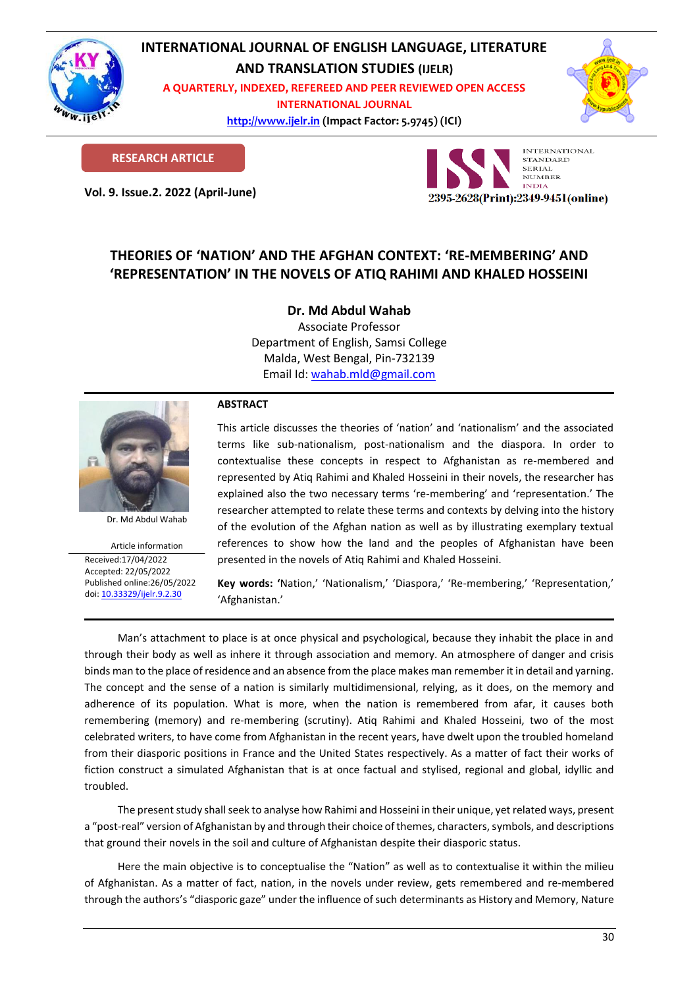

# **INTERNATIONAL JOURNAL OF ENGLISH LANGUAGE, LITERATURE**

**AND TRANSLATION STUDIES (IJELR)**

**A QUARTERLY, INDEXED, REFEREED AND PEER REVIEWED OPEN ACCESS INTERNATIONAL JOURNAL**

> **[http://www.ijelr.in](http://www.ijelr.in/) (Impact Factor: 5.9745) (ICI) KY PUBLICATIONS**



**RESEARCH ARTICLE**

**Vol. 9. Issue.2. 2022 (April-June) ARTICLE**



# **THEORIES OF 'NATION' AND THE AFGHAN CONTEXT: 'RE-MEMBERING' AND 'REPRESENTATION' IN THE NOVELS OF ATIQ RAHIMI AND KHALED HOSSEINI**

**Dr. Md Abdul Wahab** Associate Professor Department of English, Samsi College Malda, West Bengal, Pin-732139 Email Id: [wahab.mld@gmail.com](mailto:wahab.mld@gmail.com)



Dr. Md Abdul Wahab

Article information Received:17/04/2022 Accepted: 22/05/2022 Published online:26/05/2022 [doi: 10.33329/ijelr.9.2.3](http://www.ijelr.in/)0

## **ABSTRACT**

This article discusses the theories of 'nation' and 'nationalism' and the associated terms like sub-nationalism, post-nationalism and the diaspora. In order to contextualise these concepts in respect to Afghanistan as re-membered and represented by Atiq Rahimi and Khaled Hosseini in their novels, the researcher has explained also the two necessary terms 're-membering' and 'representation.' The researcher attempted to relate these terms and contexts by delving into the history of the evolution of the Afghan nation as well as by illustrating exemplary textual references to show how the land and the peoples of Afghanistan have been presented in the novels of Atiq Rahimi and Khaled Hosseini.

**Key words: '**Nation,' 'Nationalism,' 'Diaspora,' 'Re-membering,' 'Representation,' 'Afghanistan.'

Man's attachment to place is at once physical and psychological, because they inhabit the place in and through their body as well as inhere it through association and memory. An atmosphere of danger and crisis binds man to the place of residence and an absence from the place makes man remember it in detail and yarning. The concept and the sense of a nation is similarly multidimensional, relying, as it does, on the memory and adherence of its population. What is more, when the nation is remembered from afar, it causes both remembering (memory) and re-membering (scrutiny). Atiq Rahimi and Khaled Hosseini, two of the most celebrated writers, to have come from Afghanistan in the recent years, have dwelt upon the troubled homeland from their diasporic positions in France and the United States respectively. As a matter of fact their works of fiction construct a simulated Afghanistan that is at once factual and stylised, regional and global, idyllic and troubled.

The present study shall seek to analyse how Rahimi and Hosseini in their unique, yet related ways, present a "post-real" version of Afghanistan by and through their choice of themes, characters, symbols, and descriptions that ground their novels in the soil and culture of Afghanistan despite their diasporic status.

Here the main objective is to conceptualise the "Nation" as well as to contextualise it within the milieu of Afghanistan. As a matter of fact, nation, in the novels under review, gets remembered and re-membered through the authors's "diasporic gaze" under the influence of such determinants as History and Memory, Nature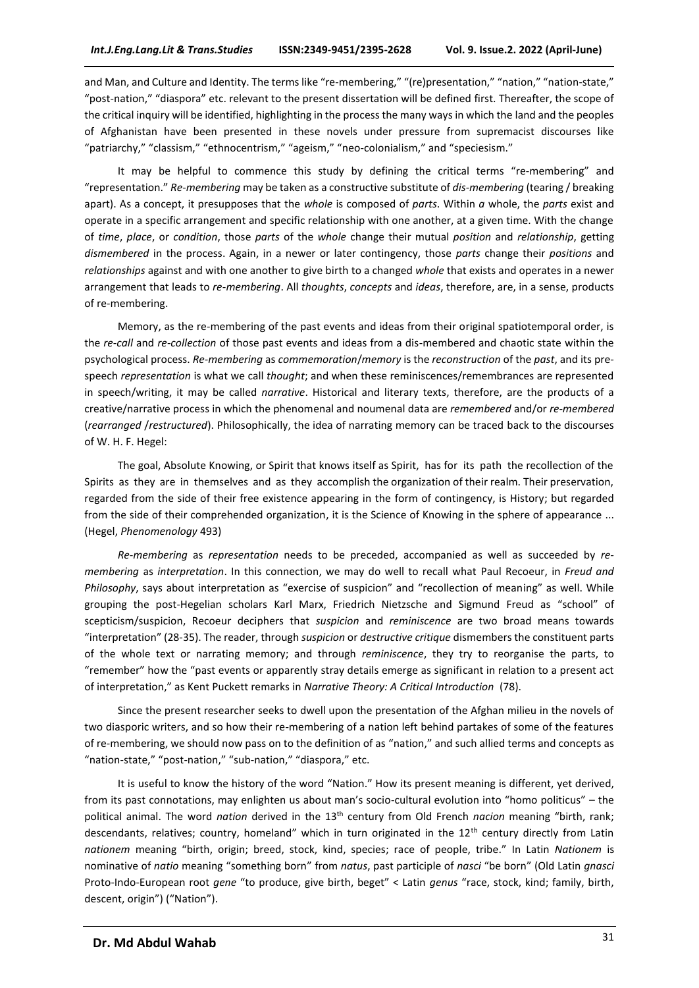and Man, and Culture and Identity. The terms like "re-membering," "(re)presentation," "nation," "nation-state," "post-nation," "diaspora" etc. relevant to the present dissertation will be defined first. Thereafter, the scope of the critical inquiry will be identified, highlighting in the process the many ways in which the land and the peoples of Afghanistan have been presented in these novels under pressure from supremacist discourses like "patriarchy," "classism," "ethnocentrism," "ageism," "neo-colonialism," and "speciesism."

It may be helpful to commence this study by defining the critical terms "re-membering" and "representation." *Re-membering* may be taken as a constructive substitute of *dis-membering* (tearing / breaking apart). As a concept, it presupposes that the *whole* is composed of *parts*. Within *a* whole, the *parts* exist and operate in a specific arrangement and specific relationship with one another, at a given time. With the change of *time*, *place*, or *condition*, those *parts* of the *whole* change their mutual *position* and *relationship*, getting *dismembered* in the process. Again, in a newer or later contingency, those *parts* change their *positions* and *relationships* against and with one another to give birth to a changed *whole* that exists and operates in a newer arrangement that leads to *re-membering*. All *thoughts*, *concepts* and *ideas*, therefore, are, in a sense, products of re-membering.

Memory, as the re-membering of the past events and ideas from their original spatiotemporal order, is the *re-call* and *re-collection* of those past events and ideas from a dis-membered and chaotic state within the psychological process. *Re-membering* as *commemoration*/*memory* is the *reconstruction* of the *past*, and its prespeech *representation* is what we call *thought*; and when these reminiscences/remembrances are represented in speech/writing, it may be called *narrative*. Historical and literary texts, therefore, are the products of a creative/narrative process in which the phenomenal and noumenal data are *remembered* and/or *re-membered* (*rearranged* /*restructured*). Philosophically, the idea of narrating memory can be traced back to the discourses of W. H. F. Hegel:

The goal, Absolute Knowing, or Spirit that knows itself as Spirit, has for its path the recollection of the Spirits as they are in themselves and as they accomplish the organization of their realm. Their preservation, regarded from the side of their free existence appearing in the form of contingency, is History; but regarded from the side of their comprehended organization, it is the Science of Knowing in the sphere of appearance ... (Hegel, *Phenomenology* 493)

*Re-membering* as *representation* needs to be preceded, accompanied as well as succeeded by *remembering* as *interpretation*. In this connection, we may do well to recall what Paul Recoeur, in *Freud and Philosophy*, says about interpretation as "exercise of suspicion" and "recollection of meaning" as well. While grouping the post-Hegelian scholars Karl Marx, Friedrich Nietzsche and Sigmund Freud as "school" of scepticism/suspicion, Recoeur deciphers that *suspicion* and *reminiscence* are two broad means towards "interpretation" (28-35). The reader, through *suspicion* or *destructive critique* dismembers the constituent parts of the whole text or narrating memory; and through *reminiscence*, they try to reorganise the parts, to "remember" how the "past events or apparently stray details emerge as significant in relation to a present act of interpretation," as Kent Puckett remarks in *Narrative Theory: A Critical Introduction* (78).

Since the present researcher seeks to dwell upon the presentation of the Afghan milieu in the novels of two diasporic writers, and so how their re-membering of a nation left behind partakes of some of the features of re-membering, we should now pass on to the definition of as "nation," and such allied terms and concepts as "nation-state," "post-nation," "sub-nation," "diaspora," etc.

It is useful to know the history of the word "Nation." How its present meaning is different, yet derived, from its past connotations, may enlighten us about man's socio-cultural evolution into "homo politicus" – the political animal. The word *nation* derived in the 13th century from Old French *nacion* meaning "birth, rank; descendants, relatives; country, homeland" which in turn originated in the  $12<sup>th</sup>$  century directly from Latin *nationem* meaning "birth, origin; breed, stock, kind, species; race of people, tribe." In Latin *Nationem* is nominative of *natio* meaning "something born" from *natus*, past participle of *nasci* "be born" (Old Latin *gnasci* Proto-Indo-European root *gene* "to produce, give birth, beget" < Latin *genus* "race, stock, kind; family, birth, descent, origin") ("Nation").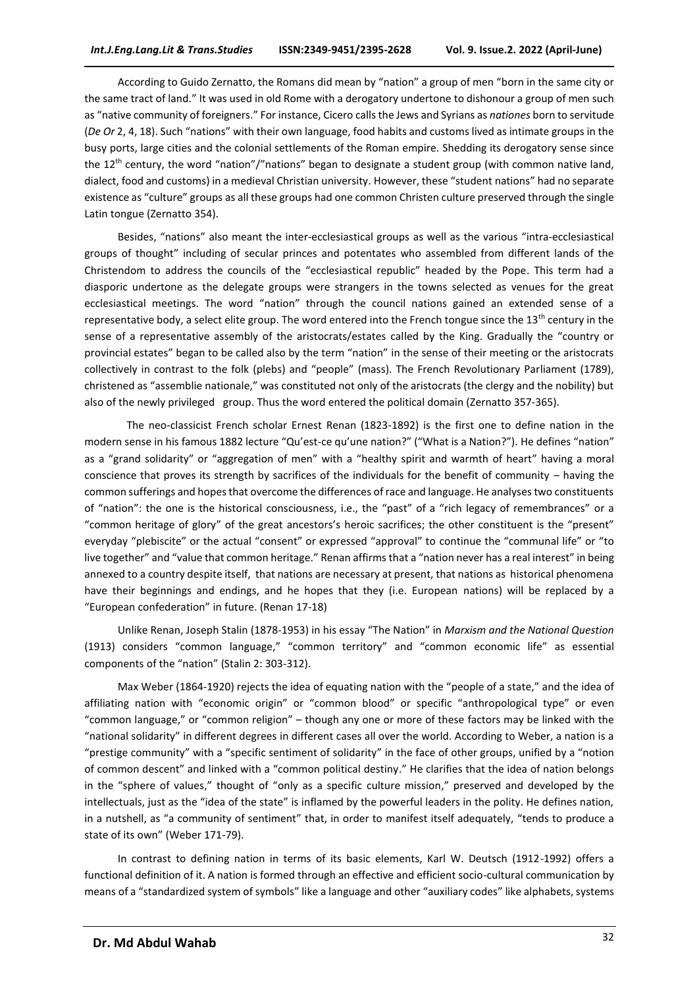According to Guido Zernatto, the Romans did mean by "nation" a group of men "born in the same city or the same tract of land." It was used in old Rome with a derogatory undertone to dishonour a group of men such as "native community of foreigners." For instance, Cicero calls the Jews and Syrians as *nationes* born to servitude (*De Or* 2, 4, 18). Such "nations" with their own language, food habits and customs lived as intimate groups in the busy ports, large cities and the colonial settlements of the Roman empire. Shedding its derogatory sense since the  $12<sup>th</sup>$  century, the word "nation"/"nations" began to designate a student group (with common native land, dialect, food and customs) in a medieval Christian university. However, these "student nations" had no separate existence as "culture" groups as all these groups had one common Christen culture preserved through the single Latin tongue (Zernatto 354).

Besides, "nations" also meant the inter-ecclesiastical groups as well as the various "intra-ecclesiastical groups of thought" including of secular princes and potentates who assembled from different lands of the Christendom to address the councils of the "ecclesiastical republic" headed by the Pope. This term had a diasporic undertone as the delegate groups were strangers in the towns selected as venues for the great ecclesiastical meetings. The word "nation" through the council nations gained an extended sense of a representative body, a select elite group. The word entered into the French tongue since the  $13<sup>th</sup>$  century in the sense of a representative assembly of the aristocrats/estates called by the King. Gradually the "country or provincial estates" began to be called also by the term "nation" in the sense of their meeting or the aristocrats collectively in contrast to the folk (plebs) and "people" (mass). The French Revolutionary Parliament (1789), christened as "assemblie nationale," was constituted not only of the aristocrats (the clergy and the nobility) but also of the newly privileged group. Thus the word entered the political domain (Zernatto 357-365).

The neo-classicist French scholar Ernest Renan (1823-1892) is the first one to define nation in the modern sense in his famous 1882 lecture "Qu'est-ce qu'une nation?" ("What is a Nation?"). He defines "nation" as a "grand solidarity" or "aggregation of men" with a "healthy spirit and warmth of heart" having a moral conscience that proves its strength by sacrifices of the individuals for the benefit of community – having the common sufferings and hopes that overcome the differences of race and language. He analyses two constituents of "nation": the one is the historical consciousness, i.e., the "past" of a "rich legacy of remembrances" or a "common heritage of glory" of the great ancestors's heroic sacrifices; the other constituent is the "present" everyday "plebiscite" or the actual "consent" or expressed "approval" to continue the "communal life" or "to live together" and "value that common heritage." Renan affirms that a "nation never has a real interest" in being annexed to a country despite itself, that nations are necessary at present, that nations as historical phenomena have their beginnings and endings, and he hopes that they (i.e. European nations) will be replaced by a "European confederation" in future. (Renan 17-18)

Unlike Renan, Joseph Stalin (1878-1953) in his essay "The Nation" in *Marxism and the National Question* (1913) considers "common language," "common territory" and "common economic life" as essential components of the "nation" (Stalin 2: 303-312).

Max Weber (1864-1920) rejects the idea of equating nation with the "people of a state," and the idea of affiliating nation with "economic origin" or "common blood" or specific "anthropological type" or even "common language," or "common religion" – though any one or more of these factors may be linked with the "national solidarity" in different degrees in different cases all over the world. According to Weber, a nation is a "prestige community" with a "specific sentiment of solidarity" in the face of other groups, unified by a "notion of common descent" and linked with a "common political destiny." He clarifies that the idea of nation belongs in the "sphere of values," thought of "only as a specific culture mission," preserved and developed by the intellectuals, just as the "idea of the state" is inflamed by the powerful leaders in the polity. He defines nation, in a nutshell, as "a community of sentiment" that, in order to manifest itself adequately, "tends to produce a state of its own" (Weber 171-79).

In contrast to defining nation in terms of its basic elements, Karl W. Deutsch (1912-1992) offers a functional definition of it. A nation is formed through an effective and efficient socio-cultural communication by means of a "standardized system of symbols" like a language and other "auxiliary codes" like alphabets, systems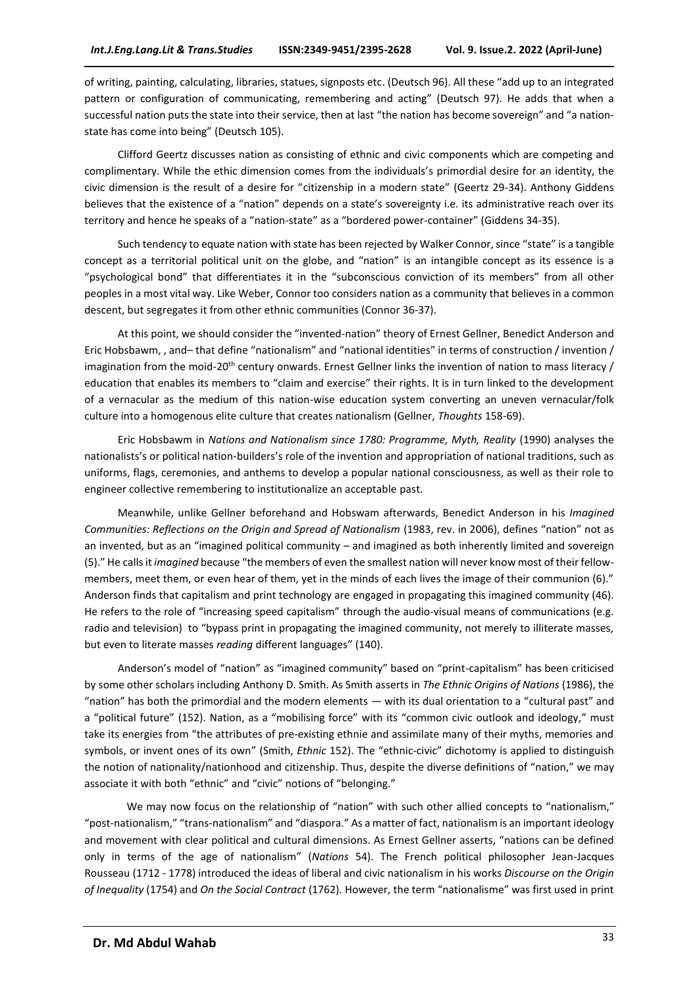of writing, painting, calculating, libraries, statues, signposts etc. (Deutsch 96). All these "add up to an integrated pattern or configuration of communicating, remembering and acting" (Deutsch 97). He adds that when a successful nation puts the state into their service, then at last "the nation has become sovereign" and "a nationstate has come into being" (Deutsch 105).

Clifford Geertz discusses nation as consisting of ethnic and civic components which are competing and complimentary. While the ethic dimension comes from the individuals's primordial desire for an identity, the civic dimension is the result of a desire for "citizenship in a modern state" (Geertz 29-34). Anthony Giddens believes that the existence of a "nation" depends on a state's sovereignty i.e. its administrative reach over its territory and hence he speaks of a "nation-state" as a "bordered power-container" (Giddens 34-35).

Such tendency to equate nation with state has been rejected by Walker Connor, since "state" is a tangible concept as a territorial political unit on the globe, and "nation" is an intangible concept as its essence is a "psychological bond" that differentiates it in the "subconscious conviction of its members" from all other peoples in a most vital way. Like Weber, Connor too considers nation as a community that believes in a common descent, but segregates it from other ethnic communities (Connor 36-37).

At this point, we should consider the "invented-nation" theory of Ernest Gellner, Benedict Anderson and Eric Hobsbawm, , and– that define "nationalism" and "national identities" in terms of construction / invention / imagination from the moid-20<sup>th</sup> century onwards. Ernest Gellner links the invention of nation to mass literacy / education that enables its members to "claim and exercise" their rights. It is in turn linked to the development of a vernacular as the medium of this nation-wise education system converting an uneven vernacular/folk culture into a homogenous elite culture that creates nationalism (Gellner, *Thoughts* 158-69).

Eric Hobsbawm in *Nations and Nationalism since 1780: Programme, Myth, Reality* (1990) analyses the nationalists's or political nation-builders's role of the invention and appropriation of national traditions, such as uniforms, flags, ceremonies, and anthems to develop a popular national consciousness, as well as their role to engineer collective remembering to institutionalize an acceptable past.

Meanwhile, unlike Gellner beforehand and Hobswam afterwards, Benedict Anderson in his *Imagined Communities: Reflections on the Origin and Spread of Nationalism* (1983, rev. in 2006), defines "nation" not as an invented, but as an "imagined political community – and imagined as both inherently limited and sovereign (5)." He callsit *imagined* because "the members of even the smallest nation will never know most of their fellowmembers, meet them, or even hear of them, yet in the minds of each lives the image of their communion (6)." Anderson finds that capitalism and print technology are engaged in propagating this imagined community (46). He refers to the role of "increasing speed capitalism" through the audio-visual means of communications (e.g. radio and television) to "bypass print in propagating the imagined community, not merely to illiterate masses, but even to literate masses *reading* different languages" (140).

Anderson's model of "nation" as "imagined community" based on "print-capitalism" has been criticised by some other scholars including Anthony D. Smith. As Smith asserts in *The Ethnic Origins of Nations* (1986), the "nation" has both the primordial and the modern elements — with its dual orientation to a "cultural past" and a "political future" (152). Nation, as a "mobilising force" with its "common civic outlook and ideology," must take its energies from "the attributes of pre-existing ethnie and assimilate many of their myths, memories and symbols, or invent ones of its own" (Smith, *Ethnic* 152). The "ethnic-civic" dichotomy is applied to distinguish the notion of nationality/nationhood and citizenship. Thus, despite the diverse definitions of "nation," we may associate it with both "ethnic" and "civic" notions of "belonging."

We may now focus on the relationship of "nation" with such other allied concepts to "nationalism," "post-nationalism," "trans-nationalism" and "diaspora." As a matter of fact, nationalism is an important ideology and movement with clear political and cultural dimensions. As Ernest Gellner asserts, "nations can be defined only in terms of the age of nationalism" (*Nations* 54). The French political philosopher Jean-Jacques Rousseau (1712 - 1778) introduced the ideas of liberal and civic nationalism in his works *Discourse on the Origin of Inequality* (1754) and *On the Social Contract* (1762). However, the term "nationalisme" was first used in print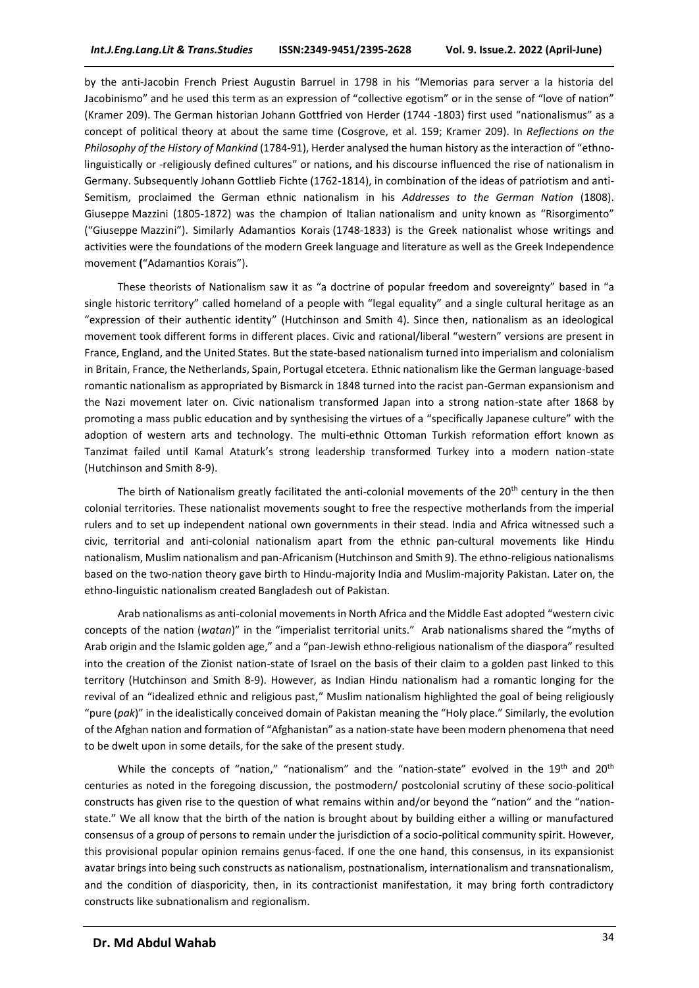by the anti-Jacobin French Priest Augustin Barruel in 1798 in his "Memorias para server a la historia del Jacobinismo" and he used this term as an expression of "collective egotism" or in the sense of "love of nation" (Kramer 209). The German historian Johann Gottfried von Herder (1744 -1803) first used "nationalismus" as a concept of political theory at about the same time (Cosgrove, et al. 159; Kramer 209). In *Reflections on the Philosophy of the History of Mankind* (1784-91), Herder analysed the human history as the interaction of "ethnolinguistically or -religiously defined cultures" or nations, and his discourse influenced the rise of nationalism in Germany. Subsequently Johann Gottlieb Fichte (1762-1814), in combination of the ideas of patriotism and anti-Semitism, proclaimed the German ethnic nationalism in his *Addresses to the German Nation* (1808). Giuseppe Mazzini (1805-1872) was the champion of Italian nationalism and unity known as "Risorgimento" ("Giuseppe Mazzini"). Similarly Adamantios Korais (1748-1833) is the Greek nationalist whose writings and activities were the foundations of the modern Greek language and literature as well as the Greek Independence movement **(**"Adamantios Korais").

These theorists of Nationalism saw it as "a doctrine of popular freedom and sovereignty" based in "a single historic territory" called homeland of a people with "legal equality" and a single cultural heritage as an "expression of their authentic identity" (Hutchinson and Smith 4). Since then, nationalism as an ideological movement took different forms in different places. Civic and rational/liberal "western" versions are present in France, England, and the United States. But the state-based nationalism turned into imperialism and colonialism in Britain, France, the Netherlands, Spain, Portugal etcetera. Ethnic nationalism like the German language-based romantic nationalism as appropriated by Bismarck in 1848 turned into the racist pan-German expansionism and the Nazi movement later on. Civic nationalism transformed Japan into a strong nation-state after 1868 by promoting a mass public education and by synthesising the virtues of a "specifically Japanese culture" with the adoption of western arts and technology. The multi-ethnic Ottoman Turkish reformation effort known as Tanzimat failed until Kamal Ataturk's strong leadership transformed Turkey into a modern nation-state (Hutchinson and Smith 8-9).

The birth of Nationalism greatly facilitated the anti-colonial movements of the 20<sup>th</sup> century in the then colonial territories. These nationalist movements sought to free the respective motherlands from the imperial rulers and to set up independent national own governments in their stead. India and Africa witnessed such a civic, territorial and anti-colonial nationalism apart from the ethnic pan-cultural movements like Hindu nationalism, Muslim nationalism and pan-Africanism (Hutchinson and Smith 9). The ethno-religious nationalisms based on the two-nation theory gave birth to Hindu-majority India and Muslim-majority Pakistan. Later on, the ethno-linguistic nationalism created Bangladesh out of Pakistan.

Arab nationalisms as anti-colonial movements in North Africa and the Middle East adopted "western civic concepts of the nation (*watan*)" in the "imperialist territorial units." Arab nationalisms shared the "myths of Arab origin and the Islamic golden age," and a "pan-Jewish ethno-religious nationalism of the diaspora" resulted into the creation of the Zionist nation-state of Israel on the basis of their claim to a golden past linked to this territory (Hutchinson and Smith 8-9). However, as Indian Hindu nationalism had a romantic longing for the revival of an "idealized ethnic and religious past," Muslim nationalism highlighted the goal of being religiously "pure (*pak*)" in the idealistically conceived domain of Pakistan meaning the "Holy place." Similarly, the evolution of the Afghan nation and formation of "Afghanistan" as a nation-state have been modern phenomena that need to be dwelt upon in some details, for the sake of the present study.

While the concepts of "nation," "nationalism" and the "nation-state" evolved in the 19<sup>th</sup> and 20<sup>th</sup> centuries as noted in the foregoing discussion, the postmodern/ postcolonial scrutiny of these socio-political constructs has given rise to the question of what remains within and/or beyond the "nation" and the "nationstate." We all know that the birth of the nation is brought about by building either a willing or manufactured consensus of a group of persons to remain under the jurisdiction of a socio-political community spirit. However, this provisional popular opinion remains genus-faced. If one the one hand, this consensus, in its expansionist avatar brings into being such constructs as nationalism, postnationalism, internationalism and transnationalism, and the condition of diasporicity, then, in its contractionist manifestation, it may bring forth contradictory constructs like subnationalism and regionalism.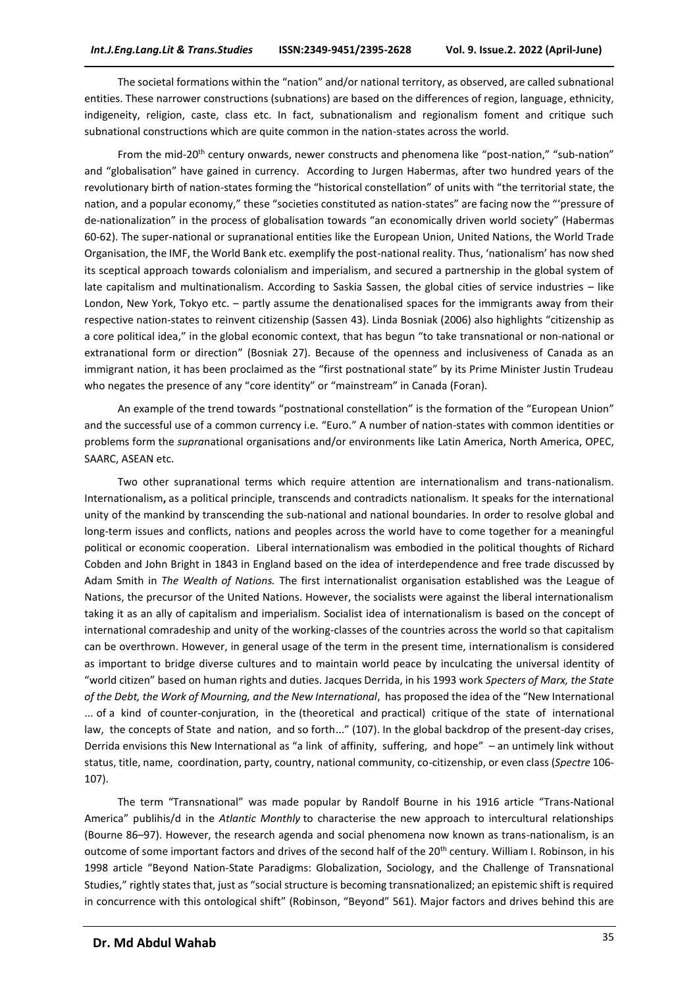The societal formations within the "nation" and/or national territory, as observed, are called subnational entities. These narrower constructions (subnations) are based on the differences of region, language, ethnicity, indigeneity, religion, caste, class etc. In fact, subnationalism and regionalism foment and critique such subnational constructions which are quite common in the nation-states across the world.

From the mid-20<sup>th</sup> century onwards, newer constructs and phenomena like "post-nation," "sub-nation" and "globalisation" have gained in currency. According to Jurgen Habermas, after two hundred years of the revolutionary birth of nation-states forming the "historical constellation" of units with "the territorial state, the nation, and a popular economy," these "societies constituted as nation-states" are facing now the "'pressure of de-nationalization" in the process of globalisation towards "an economically driven world society" (Habermas 60-62). The super-national or supranational entities like the European Union, United Nations, the World Trade Organisation, the IMF, the World Bank etc. exemplify the post-national reality. Thus, 'nationalism' has now shed its sceptical approach towards colonialism and imperialism, and secured a partnership in the global system of late capitalism and multinationalism. According to Saskia Sassen, the global cities of service industries – like London, New York, Tokyo etc. – partly assume the denationalised spaces for the immigrants away from their respective nation-states to reinvent citizenship (Sassen 43). Linda Bosniak (2006) also highlights "citizenship as a core political idea," in the global economic context, that has begun "to take transnational or non-national or extranational form or direction" (Bosniak 27). Because of the openness and inclusiveness of Canada as an immigrant nation, it has been proclaimed as the "first postnational state" by its Prime Minister Justin Trudeau who negates the presence of any "core identity" or "mainstream" in Canada (Foran).

An example of the trend towards "postnational constellation" is the formation of the "European Union" and the successful use of a common currency i.e. "Euro." A number of nation-states with common identities or problems form the *supra*national organisations and/or environments like Latin America, North America, OPEC, SAARC, ASEAN etc.

Two other supranational terms which require attention are internationalism and trans-nationalism. Internationalism**,** as a political principle, transcends and contradicts nationalism. It speaks for the international unity of the mankind by transcending the sub-national and national boundaries. In order to resolve global and long-term issues and conflicts, nations and peoples across the world have to come together for a meaningful political or economic cooperation. Liberal internationalism was embodied in the political thoughts of Richard Cobden and John Bright in 1843 in England based on the idea of interdependence and free trade discussed by Adam Smith in *The Wealth of Nations.* The first internationalist organisation established was the League of Nations, the precursor of the United Nations. However, the socialists were against the liberal internationalism taking it as an ally of capitalism and imperialism. Socialist idea of internationalism is based on the concept of international comradeship and unity of the working-classes of the countries across the world so that capitalism can be overthrown. However, in general usage of the term in the present time, internationalism is considered as important to bridge diverse cultures and to maintain world peace by inculcating the universal identity of "world citizen" based on human rights and duties. Jacques Derrida, in his 1993 work *Specters of Marx, the State of the Debt, the Work of Mourning, and the New International*, has proposed the idea of the "New International ... of a kind of counter-conjuration, in the (theoretical and practical) critique of the state of international law, the concepts of State and nation, and so forth..." (107). In the global backdrop of the present-day crises, Derrida envisions this New International as "a link of affinity, suffering, and hope" – an untimely link without status, title, name, coordination, party, country, national community, co-citizenship, or even class (*Spectre* 106- 107).

The term "Transnational" was made popular by Randolf Bourne in his 1916 article "Trans-National America" publihis/d in the *Atlantic Monthly* to characterise the new approach to intercultural relationships (Bourne 86–97). However, the research agenda and social phenomena now known as trans-nationalism, is an outcome of some important factors and drives of the second half of the 20<sup>th</sup> century. William I. Robinson, in his 1998 article "Beyond Nation-State Paradigms: Globalization, Sociology, and the Challenge of Transnational Studies," rightly states that, just as "social structure is becoming transnationalized; an epistemic shift is required in concurrence with this ontological shift" (Robinson, "Beyond" 561). Major factors and drives behind this are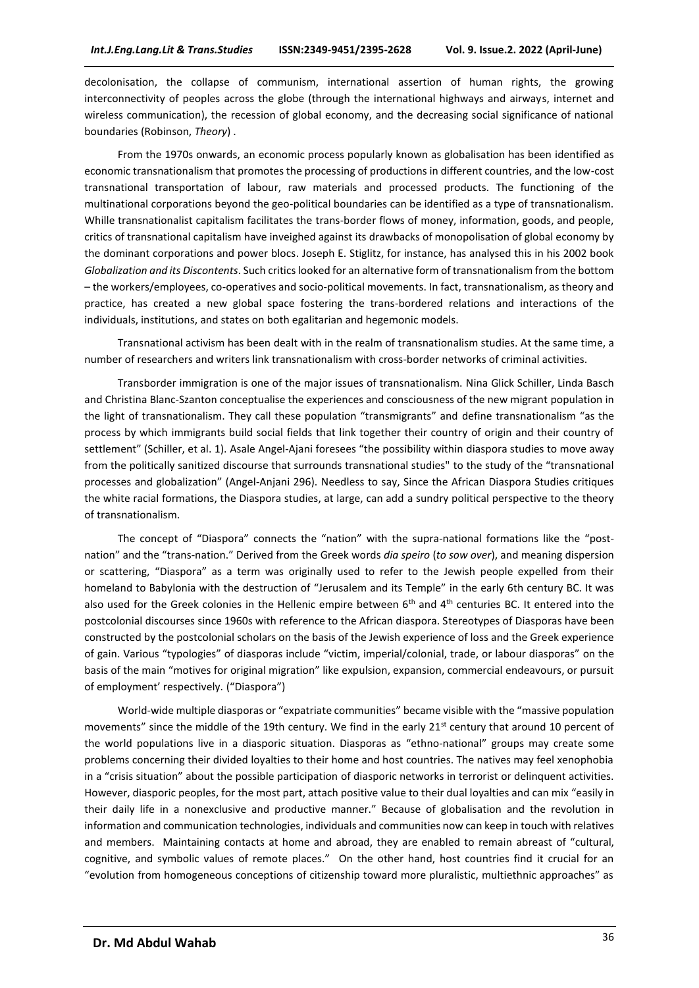decolonisation, the collapse of communism, international assertion of human rights, the growing interconnectivity of peoples across the globe (through the international highways and airways, internet and wireless communication), the recession of global economy, and the decreasing social significance of national boundaries (Robinson, *Theory*) .

From the 1970s onwards, an economic process popularly known as globalisation has been identified as economic transnationalism that promotes the processing of productions in different countries, and the low-cost transnational transportation of labour, raw materials and processed products. The functioning of the multinational corporations beyond the geo-political boundaries can be identified as a type of transnationalism. Whille transnationalist capitalism facilitates the trans-border flows of money, information, goods, and people, critics of transnational capitalism have inveighed against its drawbacks of monopolisation of global economy by the dominant corporations and power blocs. Joseph E. Stiglitz, for instance, has analysed this in his 2002 book *Globalization and its Discontents*. Such critics looked for an alternative form of transnationalism from the bottom – the workers/employees, co-operatives and socio-political movements. In fact, transnationalism, as theory and practice, has created a new global space fostering the trans-bordered relations and interactions of the individuals, institutions, and states on both egalitarian and hegemonic models.

Transnational activism has been dealt with in the realm of transnationalism studies. At the same time, a number of researchers and writers link transnationalism with cross-border networks of criminal activities.

Transborder immigration is one of the major issues of transnationalism. Nina Glick Schiller, Linda Basch and Christina Blanc-Szanton conceptualise the experiences and consciousness of the new migrant population in the light of transnationalism. They call these population "transmigrants" and define transnationalism "as the process by which immigrants build social fields that link together their country of origin and their country of settlement" (Schiller, et al. 1). Asale Angel-Ajani foresees "the possibility within diaspora studies to move away from the politically sanitized discourse that surrounds transnational studies" to the study of the "transnational processes and globalization" (Angel-Anjani 296). Needless to say, Since the African Diaspora Studies critiques the white racial formations, the Diaspora studies, at large, can add a sundry political perspective to the theory of transnationalism.

The concept of "Diaspora" connects the "nation" with the supra-national formations like the "postnation" and the "trans-nation." Derived from the Greek words *dia speiro* (*to sow over*), and meaning dispersion or scattering, "Diaspora" as a term was originally used to refer to the Jewish people expelled from their homeland to Babylonia with the destruction of "Jerusalem and its Temple" in the early 6th century BC. It was also used for the Greek colonies in the Hellenic empire between 6<sup>th</sup> and 4<sup>th</sup> centuries BC. It entered into the postcolonial discourses since 1960s with reference to the African diaspora. Stereotypes of Diasporas have been constructed by the postcolonial scholars on the basis of the Jewish experience of loss and the Greek experience of gain. Various "typologies" of diasporas include "victim, imperial/colonial, trade, or labour diasporas" on the basis of the main "motives for original migration" like expulsion, expansion, commercial endeavours, or pursuit of employment' respectively. ("Diaspora")

World-wide multiple diasporas or "expatriate communities" became visible with the "massive population movements" since the middle of the 19th century. We find in the early 21<sup>st</sup> century that around 10 percent of the world populations live in a diasporic situation. Diasporas as "ethno-national" groups may create some problems concerning their divided loyalties to their home and host countries. The natives may feel xenophobia in a "crisis situation" about the possible participation of diasporic networks in terrorist or delinquent activities. However, diasporic peoples, for the most part, attach positive value to their dual loyalties and can mix "easily in their daily life in a nonexclusive and productive manner." Because of globalisation and the revolution in information and communication technologies, individuals and communities now can keep in touch with relatives and members. Maintaining contacts at home and abroad, they are enabled to remain abreast of "cultural, cognitive, and symbolic values of remote places." On the other hand, host countries find it crucial for an "evolution from homogeneous conceptions of citizenship toward more pluralistic, multiethnic approaches" as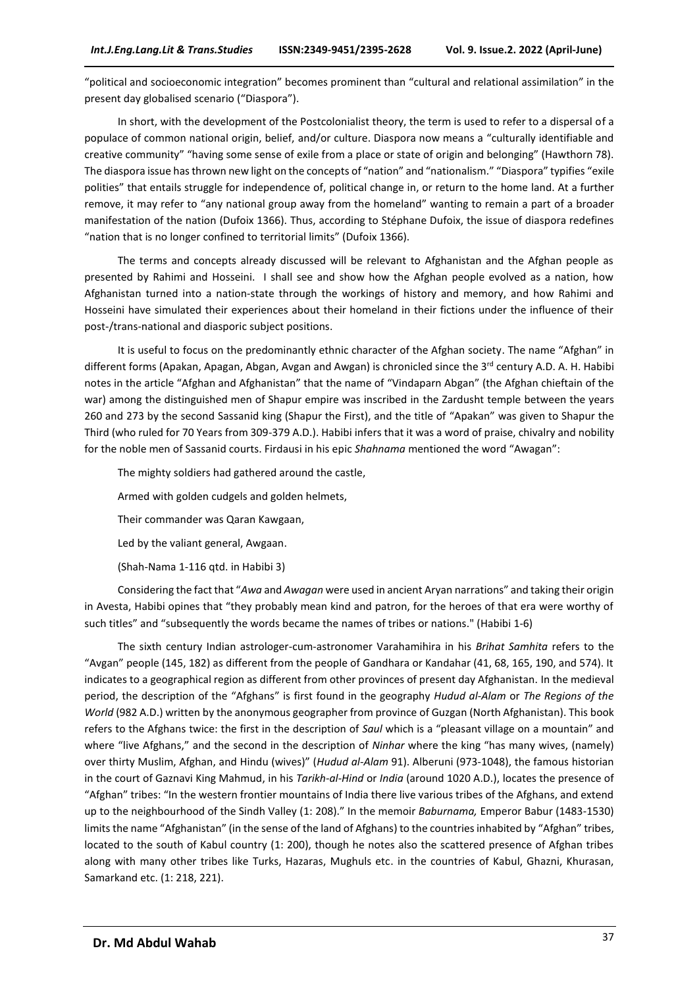"political and socioeconomic integration" becomes prominent than "cultural and relational assimilation" in the present day globalised scenario ("Diaspora").

In short, with the development of the Postcolonialist theory, the term is used to refer to a dispersal of a populace of common national origin, belief, and/or culture. Diaspora now means a "culturally identifiable and creative community" "having some sense of exile from a place or state of origin and belonging" (Hawthorn 78). The diaspora issue has thrown new light on the concepts of "nation" and "nationalism." "Diaspora" typifies "exile polities" that entails struggle for independence of, political change in, or return to the home land. At a further remove, it may refer to "any national group away from the homeland" wanting to remain a part of a broader manifestation of the nation (Dufoix 1366). Thus, according to Stéphane Dufoix, the issue of diaspora redefines "nation that is no longer confined to territorial limits" (Dufoix 1366).

The terms and concepts already discussed will be relevant to Afghanistan and the Afghan people as presented by Rahimi and Hosseini. I shall see and show how the Afghan people evolved as a nation, how Afghanistan turned into a nation-state through the workings of history and memory, and how Rahimi and Hosseini have simulated their experiences about their homeland in their fictions under the influence of their post-/trans-national and diasporic subject positions.

It is useful to focus on the predominantly ethnic character of the Afghan society. The name "Afghan" in different forms (Apakan, Apagan, Abgan, Avgan and Awgan) is chronicled since the 3<sup>rd</sup> century A.D. A. H. Habibi notes in the article "Afghan and Afghanistan" that the name of "Vindaparn Abgan" (the Afghan chieftain of the war) among the distinguished men of Shapur empire was inscribed in the Zardusht temple between the years 260 and 273 by the second Sassanid king (Shapur the First), and the title of "Apakan" was given to Shapur the Third (who ruled for 70 Years from 309-379 A.D.). Habibi infers that it was a word of praise, chivalry and nobility for the noble men of Sassanid courts. Firdausi in his epic *Shahnama* mentioned the word "Awagan":

The mighty soldiers had gathered around the castle,

Armed with golden cudgels and golden helmets,

Their commander was Qaran Kawgaan,

Led by the valiant general, Awgaan.

(Shah-Nama 1-116 qtd. in Habibi 3)

Considering the fact that "*Awa* and *Awagan* were used in ancient Aryan narrations" and taking their origin in Avesta, Habibi opines that "they probably mean kind and patron, for the heroes of that era were worthy of such titles" and "subsequently the words became the names of tribes or nations." (Habibi 1-6)

The sixth century Indian astrologer-cum-astronomer Varahamihira in his *Brihat Samhita* refers to the "Avgan" people (145, 182) as different from the people of Gandhara or Kandahar (41, 68, 165, 190, and 574). It indicates to a geographical region as different from other provinces of present day Afghanistan. In the medieval period, the description of the "Afghans" is first found in the geography *Hudud al-Alam* or *The Regions of the World* (982 A.D.) written by the anonymous geographer from province of Guzgan (North Afghanistan). This book refers to the Afghans twice: the first in the description of *Saul* which is a "pleasant village on a mountain" and where "live Afghans," and the second in the description of *Ninhar* where the king "has many wives, (namely) over thirty Muslim, Afghan, and Hindu (wives)" (*Hudud al-Alam* 91). Alberuni (973-1048), the famous historian in the court of Gaznavi King Mahmud, in his *Tarikh-al-Hind* or *India* (around 1020 A.D.), locates the presence of "Afghan" tribes: "In the western frontier mountains of India there live various tribes of the Afghans, and extend up to the neighbourhood of the Sindh Valley (1: 208)." In the memoir *Baburnama,* Emperor Babur (1483-1530) limits the name "Afghanistan" (in the sense of the land of Afghans) to the countries inhabited by "Afghan" tribes, located to the south of Kabul country (1: 200), though he notes also the scattered presence of Afghan tribes along with many other tribes like Turks, Hazaras, Mughuls etc. in the countries of Kabul, Ghazni, Khurasan, Samarkand etc. (1: 218, 221).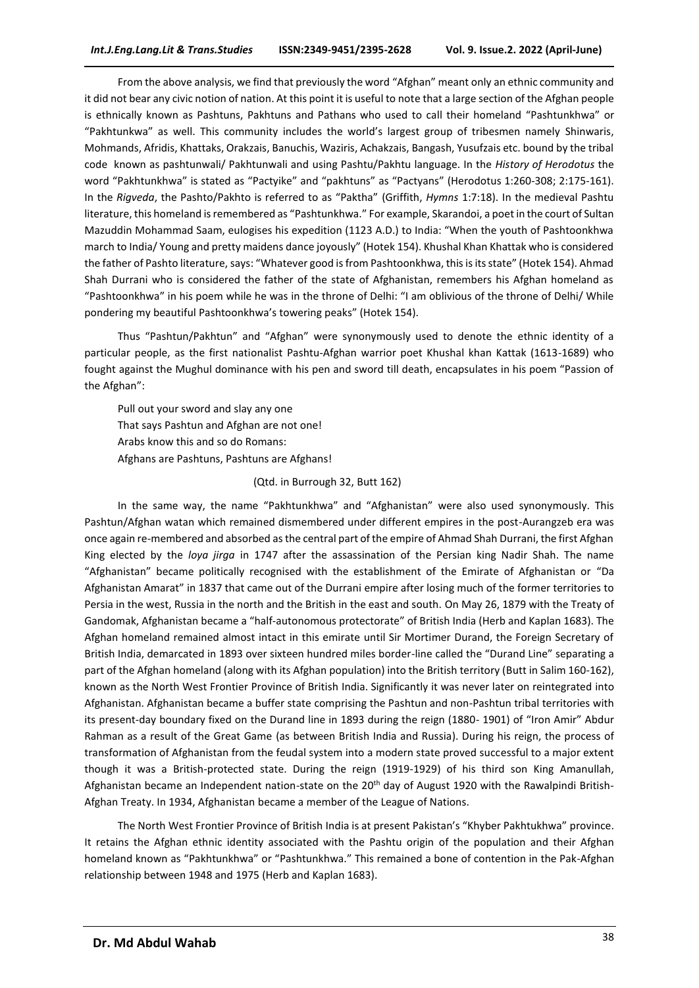From the above analysis, we find that previously the word "Afghan" meant only an ethnic community and it did not bear any civic notion of nation. At this point it is useful to note that a large section of the Afghan people is ethnically known as Pashtuns, Pakhtuns and Pathans who used to call their homeland "Pashtunkhwa" or "Pakhtunkwa" as well. This community includes the world's largest group of tribesmen namely Shinwaris, Mohmands, Afridis, Khattaks, Orakzais, Banuchis, Waziris, Achakzais, Bangash, Yusufzais etc. bound by the tribal code known as pashtunwali/ Pakhtunwali and using Pashtu/Pakhtu language. In the *History of Herodotus* the word "Pakhtunkhwa" is stated as "Pactyike" and "pakhtuns" as "Pactyans" (Herodotus 1:260-308; 2:175-161). In the *Rigveda*, the Pashto/Pakhto is referred to as "Paktha" (Griffith, *Hymns* 1:7:18). In the medieval Pashtu literature, this homeland is remembered as "Pashtunkhwa." For example, Skarandoi, a poet in the court of Sultan Mazuddin Mohammad Saam, eulogises his expedition (1123 A.D.) to India: "When the youth of Pashtoonkhwa march to India/ Young and pretty maidens dance joyously" (Hotek 154). Khushal Khan Khattak who is considered the father of Pashto literature, says: "Whatever good is from Pashtoonkhwa, this is its state" (Hotek 154). Ahmad Shah Durrani who is considered the father of the state of Afghanistan, remembers his Afghan homeland as "Pashtoonkhwa" in his poem while he was in the throne of Delhi: "I am oblivious of the throne of Delhi/ While pondering my beautiful Pashtoonkhwa's towering peaks" (Hotek 154).

Thus "Pashtun/Pakhtun" and "Afghan" were synonymously used to denote the ethnic identity of a particular people, as the first nationalist Pashtu-Afghan warrior poet Khushal khan Kattak (1613-1689) who fought against the Mughul dominance with his pen and sword till death, encapsulates in his poem "Passion of the Afghan":

Pull out your sword and slay any one That says Pashtun and Afghan are not one! Arabs know this and so do Romans: Afghans are Pashtuns, Pashtuns are Afghans!

### (Qtd. in Burrough 32, Butt 162)

In the same way, the name "Pakhtunkhwa" and "Afghanistan" were also used synonymously. This Pashtun/Afghan watan which remained dismembered under different empires in the post-Aurangzeb era was once again re-membered and absorbed as the central part of the empire of Ahmad Shah Durrani, the first Afghan King elected by the *loya jirga* in 1747 after the assassination of the Persian king Nadir Shah. The name "Afghanistan" became politically recognised with the establishment of the Emirate of Afghanistan or "Da Afghanistan Amarat" in 1837 that came out of the Durrani empire after losing much of the former territories to Persia in the west, Russia in the north and the British in the east and south. On May 26, 1879 with the Treaty of Gandomak, Afghanistan became a "half-autonomous protectorate" of British India (Herb and Kaplan 1683). The Afghan homeland remained almost intact in this emirate until Sir Mortimer Durand, the Foreign Secretary of British India, demarcated in 1893 over sixteen hundred miles border-line called the "Durand Line" separating a part of the Afghan homeland (along with its Afghan population) into the British territory (Butt in Salim 160-162), known as the North West Frontier Province of British India. Significantly it was never later on reintegrated into Afghanistan. Afghanistan became a buffer state comprising the Pashtun and non-Pashtun tribal territories with its present-day boundary fixed on the Durand line in 1893 during the reign (1880- 1901) of "Iron Amir" Abdur Rahman as a result of the Great Game (as between British India and Russia). During his reign, the process of transformation of Afghanistan from the feudal system into a modern state proved successful to a major extent though it was a British-protected state. During the reign (1919-1929) of his third son King Amanullah, Afghanistan became an Independent nation-state on the 20<sup>th</sup> day of August 1920 with the Rawalpindi British-Afghan Treaty. In 1934, Afghanistan became a member of the League of Nations.

The North West Frontier Province of British India is at present Pakistan's "Khyber Pakhtukhwa" province. It retains the Afghan ethnic identity associated with the Pashtu origin of the population and their Afghan homeland known as "Pakhtunkhwa" or "Pashtunkhwa." This remained a bone of contention in the Pak-Afghan relationship between 1948 and 1975 (Herb and Kaplan 1683).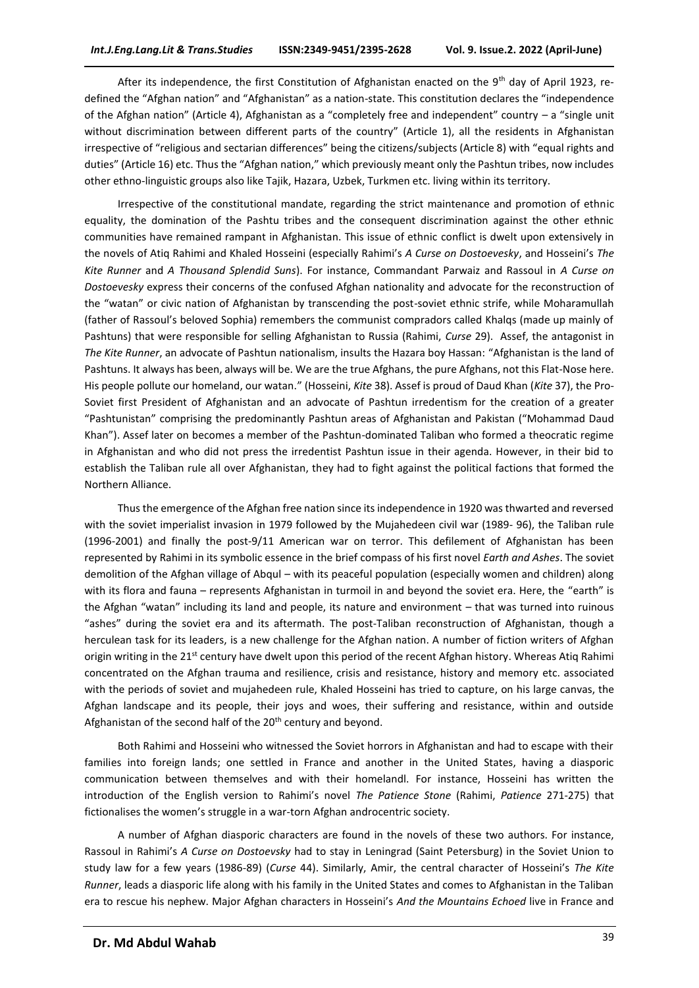After its independence, the first Constitution of Afghanistan enacted on the 9<sup>th</sup> day of April 1923, redefined the "Afghan nation" and "Afghanistan" as a nation-state. This constitution declares the "independence of the Afghan nation" (Article 4), Afghanistan as a "completely free and independent" country – a "single unit without discrimination between different parts of the country" (Article 1), all the residents in Afghanistan irrespective of "religious and sectarian differences" being the citizens/subjects (Article 8) with "equal rights and duties" (Article 16) etc. Thus the "Afghan nation," which previously meant only the Pashtun tribes, now includes other ethno-linguistic groups also like Tajik, Hazara, Uzbek, Turkmen etc. living within its territory.

Irrespective of the constitutional mandate, regarding the strict maintenance and promotion of ethnic equality, the domination of the Pashtu tribes and the consequent discrimination against the other ethnic communities have remained rampant in Afghanistan. This issue of ethnic conflict is dwelt upon extensively in the novels of Atiq Rahimi and Khaled Hosseini (especially Rahimi's *A Curse on Dostoevesky*, and Hosseini's *The Kite Runner* and *A Thousand Splendid Suns*). For instance, Commandant Parwaiz and Rassoul in *A Curse on Dostoevesky* express their concerns of the confused Afghan nationality and advocate for the reconstruction of the "watan" or civic nation of Afghanistan by transcending the post-soviet ethnic strife, while Moharamullah (father of Rassoul's beloved Sophia) remembers the communist compradors called Khalqs (made up mainly of Pashtuns) that were responsible for selling Afghanistan to Russia (Rahimi, *Curse* 29). Assef, the antagonist in *The Kite Runner*, an advocate of Pashtun nationalism, insults the Hazara boy Hassan: "Afghanistan is the land of Pashtuns. It always has been, always will be. We are the true Afghans, the pure Afghans, not this Flat-Nose here. His people pollute our homeland, our watan." (Hosseini, *Kite* 38). Assef is proud of Daud Khan (*Kite* 37), the Pro-Soviet first President of Afghanistan and an advocate of Pashtun irredentism for the creation of a greater "Pashtunistan" comprising the predominantly Pashtun areas of Afghanistan and Pakistan ("Mohammad Daud Khan"). Assef later on becomes a member of the Pashtun-dominated Taliban who formed a theocratic regime in Afghanistan and who did not press the irredentist Pashtun issue in their agenda. However, in their bid to establish the Taliban rule all over Afghanistan, they had to fight against the political factions that formed the Northern Alliance.

Thus the emergence of the Afghan free nation since its independence in 1920 was thwarted and reversed with the soviet imperialist invasion in 1979 followed by the Mujahedeen civil war (1989- 96), the Taliban rule (1996-2001) and finally the post-9/11 American war on terror. This defilement of Afghanistan has been represented by Rahimi in its symbolic essence in the brief compass of his first novel *Earth and Ashes*. The soviet demolition of the Afghan village of Abqul – with its peaceful population (especially women and children) along with its flora and fauna – represents Afghanistan in turmoil in and beyond the soviet era. Here, the "earth" is the Afghan "watan" including its land and people, its nature and environment – that was turned into ruinous "ashes" during the soviet era and its aftermath. The post-Taliban reconstruction of Afghanistan, though a herculean task for its leaders, is a new challenge for the Afghan nation. A number of fiction writers of Afghan origin writing in the 21<sup>st</sup> century have dwelt upon this period of the recent Afghan history. Whereas Atiq Rahimi concentrated on the Afghan trauma and resilience, crisis and resistance, history and memory etc. associated with the periods of soviet and mujahedeen rule, Khaled Hosseini has tried to capture, on his large canvas, the Afghan landscape and its people, their joys and woes, their suffering and resistance, within and outside Afghanistan of the second half of the  $20<sup>th</sup>$  century and beyond.

Both Rahimi and Hosseini who witnessed the Soviet horrors in Afghanistan and had to escape with their families into foreign lands; one settled in France and another in the United States, having a diasporic communication between themselves and with their homelandl. For instance, Hosseini has written the introduction of the English version to Rahimi's novel *The Patience Stone* (Rahimi, *Patience* 271-275) that fictionalises the women's struggle in a war-torn Afghan androcentric society.

A number of Afghan diasporic characters are found in the novels of these two authors. For instance, Rassoul in Rahimi's *A Curse on Dostoevsky* had to stay in Leningrad (Saint Petersburg) in the Soviet Union to study law for a few years (1986-89) (*Curse* 44). Similarly, Amir, the central character of Hosseini's *The Kite Runner*, leads a diasporic life along with his family in the United States and comes to Afghanistan in the Taliban era to rescue his nephew. Major Afghan characters in Hosseini's *And the Mountains Echoed* live in France and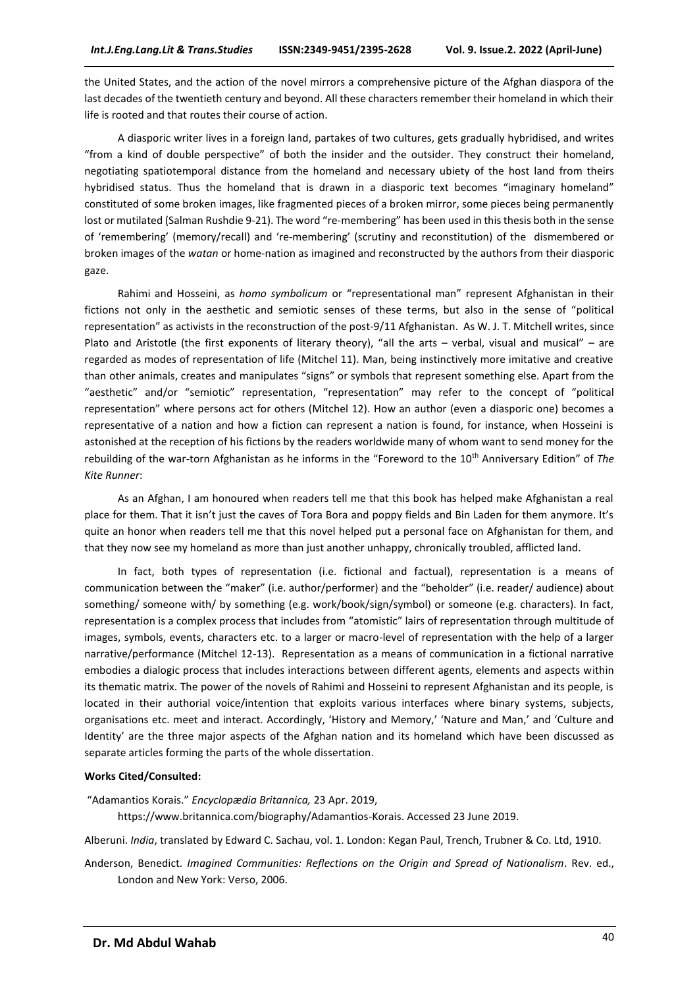the United States, and the action of the novel mirrors a comprehensive picture of the Afghan diaspora of the last decades of the twentieth century and beyond. All these characters remember their homeland in which their life is rooted and that routes their course of action.

A diasporic writer lives in a foreign land, partakes of two cultures, gets gradually hybridised, and writes "from a kind of double perspective" of both the insider and the outsider. They construct their homeland, negotiating spatiotemporal distance from the homeland and necessary ubiety of the host land from theirs hybridised status. Thus the homeland that is drawn in a diasporic text becomes "imaginary homeland" constituted of some broken images, like fragmented pieces of a broken mirror, some pieces being permanently lost or mutilated (Salman Rushdie 9-21). The word "re-membering" has been used in this thesis both in the sense of 'remembering' (memory/recall) and 're-membering' (scrutiny and reconstitution) of the dismembered or broken images of the *watan* or home-nation as imagined and reconstructed by the authors from their diasporic gaze.

Rahimi and Hosseini, as *homo symbolicum* or "representational man" represent Afghanistan in their fictions not only in the aesthetic and semiotic senses of these terms, but also in the sense of "political representation" as activists in the reconstruction of the post-9/11 Afghanistan. As W. J. T. Mitchell writes, since Plato and Aristotle (the first exponents of literary theory), "all the arts – verbal, visual and musical" – are regarded as modes of representation of life (Mitchel 11). Man, being instinctively more imitative and creative than other animals, creates and manipulates "signs" or symbols that represent something else. Apart from the "aesthetic" and/or "semiotic" representation, "representation" may refer to the concept of "political representation" where persons act for others (Mitchel 12). How an author (even a diasporic one) becomes a representative of a nation and how a fiction can represent a nation is found, for instance, when Hosseini is astonished at the reception of his fictions by the readers worldwide many of whom want to send money for the rebuilding of the war-torn Afghanistan as he informs in the "Foreword to the 10th Anniversary Edition" of *The Kite Runner*:

As an Afghan, I am honoured when readers tell me that this book has helped make Afghanistan a real place for them. That it isn't just the caves of Tora Bora and poppy fields and Bin Laden for them anymore. It's quite an honor when readers tell me that this novel helped put a personal face on Afghanistan for them, and that they now see my homeland as more than just another unhappy, chronically troubled, afflicted land.

In fact, both types of representation (i.e. fictional and factual), representation is a means of communication between the "maker" (i.e. author/performer) and the "beholder" (i.e. reader/ audience) about something/ someone with/ by something (e.g. work/book/sign/symbol) or someone (e.g. characters). In fact, representation is a complex process that includes from "atomistic" lairs of representation through multitude of images, symbols, events, characters etc. to a larger or macro-level of representation with the help of a larger narrative/performance (Mitchel 12-13). Representation as a means of communication in a fictional narrative embodies a dialogic process that includes interactions between different agents, elements and aspects within its thematic matrix. The power of the novels of Rahimi and Hosseini to represent Afghanistan and its people, is located in their authorial voice/intention that exploits various interfaces where binary systems, subjects, organisations etc. meet and interact. Accordingly, 'History and Memory,' 'Nature and Man,' and 'Culture and Identity' are the three major aspects of the Afghan nation and its homeland which have been discussed as separate articles forming the parts of the whole dissertation.

#### **Works Cited/Consulted:**

"Adamantios Korais." *Encyclopædia Britannica,* 23 Apr. 2019,

[https://www.britannica.com/biography/Adamantios-Korais.](https://www.britannica.com/biography/Adamantios-Korais) Accessed 23 June 2019.

Alberuni. *India*, translated by Edward C. Sachau, vol. 1. London: Kegan Paul, Trench, Trubner & Co. Ltd, 1910.

Anderson, Benedict. *Imagined Communities: Reflections on the Origin and Spread of Nationalism*. Rev. ed., London and New York: Verso, 2006.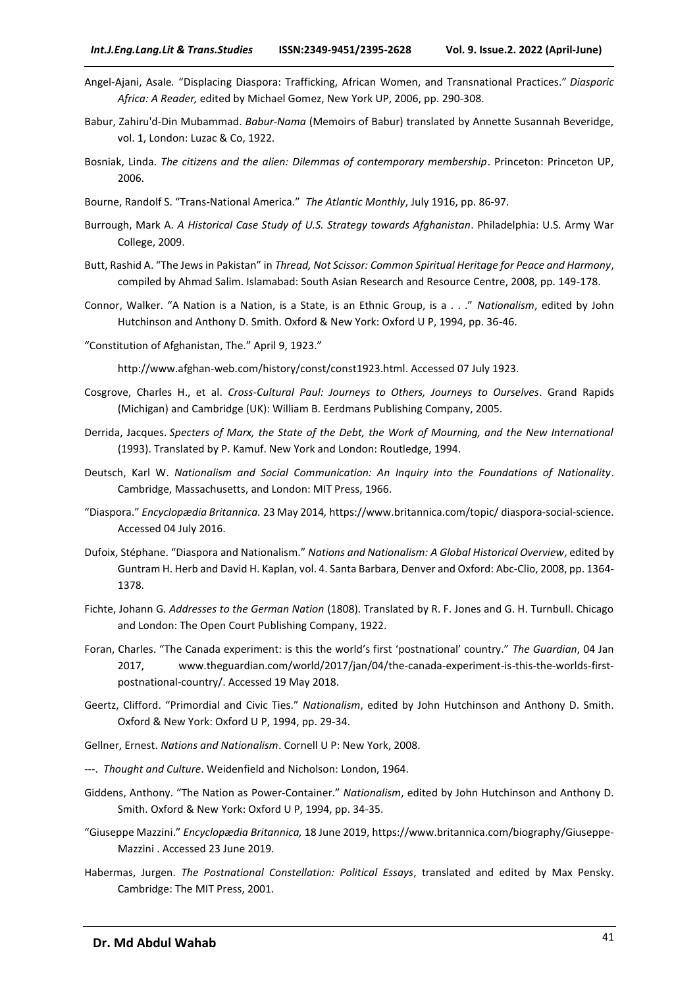- Angel-Ajani, Asale*.* "Displacing Diaspora: Trafficking, African Women, and Transnational Practices." *Diasporic Africa: A Reader,* edited by Michael Gomez, New York UP, 2006, pp. 290-308.
- Babur, Zahiru'd-Din Mubammad. *Babur-Nama* (Memoirs of Babur) translated by Annette Susannah Beveridge, vol. 1, London: Luzac & Co, 1922.
- Bosniak, Linda. *The citizens and the alien: Dilemmas of contemporary membership*. Princeton: Princeton UP, 2006.
- Bourne, Randolf S. "Trans-National America." *The Atlantic Monthly*, July 1916, pp. 86-97.
- Burrough, Mark A. *A Historical Case Study of U.S. Strategy towards Afghanistan*. Philadelphia: U.S. Army War College, 2009.
- Butt, Rashid A. "The Jews in Pakistan" in *Thread, Not Scissor: Common Spiritual Heritage for Peace and Harmony*, compiled by Ahmad Salim. Islamabad: South Asian Research and Resource Centre, 2008, pp. 149-178.
- Connor, Walker. "A Nation is a Nation, is a State, is an Ethnic Group, is a . . ." *Nationalism*, edited by John Hutchinson and Anthony D. Smith. Oxford & New York: Oxford U P, 1994, pp. 36-46.
- "Constitution of Afghanistan, The." April 9, 1923."

[http://www.afghan-web.com/history/const/const1923.html.](http://www.afghan-web.com/history/const/const1923.html) Accessed 07 July 1923.

- Cosgrove, Charles H., et al. *Cross-Cultural Paul: Journeys to Others, Journeys to Ourselves*. Grand Rapids (Michigan) and Cambridge (UK): William B. Eerdmans Publishing Company, 2005.
- Derrida, Jacques. *Specters of Marx, the State of the Debt, the Work of Mourning, and the New International* (1993). Translated by P. Kamuf. New York and London: Routledge, 1994.
- Deutsch, Karl W. *Nationalism and Social Communication: An Inquiry into the Foundations of Nationality*. Cambridge, Massachusetts, and London: MIT Press, 1966.
- "Diaspora." *Encyclopædia Britannica.* 23 May 2014*,* [https://www.britannica.com/topic/](https://www.britannica.com/topic/deep-ecology) diaspora-social-science. Accessed 04 July 2016.
- Dufoix, Stéphane. "Diaspora and Nationalism." *Nations and Nationalism: A Global Historical Overview*, edited by Guntram H. Herb and David H. Kaplan, vol. 4. Santa Barbara, Denver and Oxford: Abc-Clio, 2008, pp. 1364- 1378.
- Fichte, Johann G. *Addresses to the German Nation* (1808). Translated by R. F. Jones and G. H. Turnbull. Chicago and London: The Open Court Publishing Company, 1922.
- Foran, Charles. "The Canada experiment: is this the world's first 'postnational' country." *The Guardian*, 04 Jan 2017, [www.theguardian.com/world/2017/jan/04/t](http://www.theguardian.com/world/2017/jan/04/)he-canada-experiment-is-this-the-worlds-firstpostnational-country/. Accessed 19 May 2018.
- Geertz, Clifford. "Primordial and Civic Ties." *Nationalism*, edited by John Hutchinson and Anthony D. Smith. Oxford & New York: Oxford U P, 1994, pp. 29-34.
- Gellner, Ernest. *Nations and Nationalism*. Cornell U P: New York, 2008.
- ---. *Thought and Culture*. Weidenfield and Nicholson: London, 1964.
- Giddens, Anthony. "The Nation as Power-Container." *Nationalism*, edited by John Hutchinson and Anthony D. Smith. Oxford & New York: Oxford U P, 1994, pp. 34-35.
- "Giuseppe Mazzini." *Encyclopædia Britannica,* 18 June 2019[, https://www.britannica.com/biography/Giuseppe-](https://www.britannica.com/biography/Giuseppe-Mazzini)[Mazzini](https://www.britannica.com/biography/Giuseppe-Mazzini) . Accessed 23 June 2019*.*
- Habermas, Jurgen. *The Postnational Constellation: Political Essays*, translated and edited by Max Pensky. Cambridge: The MIT Press, 2001.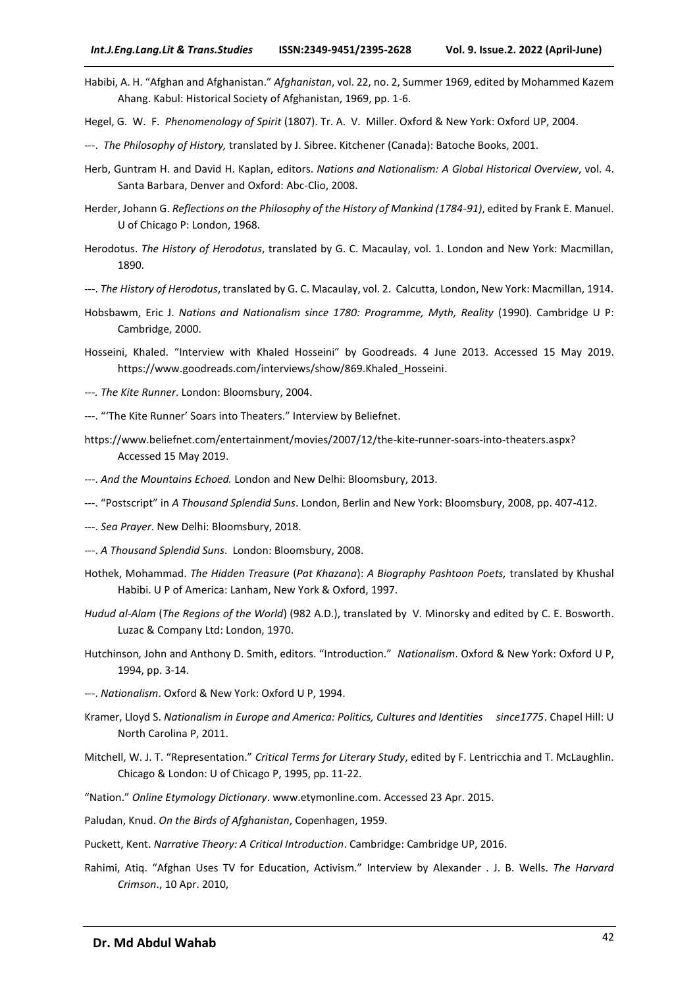Habibi, A. H. "Afghan and Afghanistan." *Afghanistan*, vol. 22, no. 2, Summer 1969, edited by Mohammed Kazem Ahang. Kabul: Historical Society of Afghanistan, 1969, pp. 1-6.

Hegel, G. W. F. *Phenomenology of Spirit* (1807). Tr. A. V. Miller. Oxford & New York: Oxford UP, 2004.

- ---. *The Philosophy of History,* translated by J. Sibree. Kitchener (Canada): Batoche Books, 2001.
- Herb, Guntram H. and David H. Kaplan, editors. *Nations and Nationalism: A Global Historical Overview*, vol. 4. Santa Barbara, Denver and Oxford: Abc-Clio, 2008.
- Herder, Johann G. *Reflections on the Philosophy of the History of Mankind (1784-91)*, edited by Frank E. Manuel. U of Chicago P: London, 1968.
- Herodotus. *The History of Herodotus*, translated by G. C. Macaulay, vol. 1. London and New York: Macmillan, 1890.
- ---. *The History of Herodotus*, translated by G. C. Macaulay, vol. 2. Calcutta, London, New York: Macmillan, 1914.
- Hobsbawm, Eric J. *Nations and Nationalism since 1780: Programme, Myth, Reality* (1990). Cambridge U P: Cambridge, 2000.
- Hosseini, Khaled. "Interview with Khaled Hosseini" by Goodreads. 4 June 2013. Accessed 15 May 2019. [https://www.goodreads.com/interviews/show/869.Khaled\\_Hosseini.](https://www.goodreads.com/interviews/show/869.Khaled_Hosseini)
- *---. The Kite Runner*. London: Bloomsbury, 2004.
- ---. "'The Kite Runner' Soars into Theaters." Interview by Beliefnet.
- <https://www.beliefnet.com/entertainment/movies/2007/12/the-kite-runner-soars-into-theaters.aspx?> Accessed 15 May 2019.
- *---*. *And the Mountains Echoed.* London and New Delhi: Bloomsbury, 2013.
- ---. "Postscript" in *A Thousand Splendid Suns*. London, Berlin and New York: Bloomsbury, 2008, pp. 407-412.
- ---. *Sea Prayer*. New Delhi: Bloomsbury, 2018.
- ---. *A Thousand Splendid Suns*. London: Bloomsbury, 2008.
- Hothek, Mohammad. *The Hidden Treasure* (*Pat Khazana*): *A Biography Pashtoon Poets,* translated by Khushal Habibi. U P of America: Lanham, New York & Oxford, 1997.
- *Hudud al-Alam* (*The Regions of the World*) (982 A.D.), translated by V. Minorsky and edited by C. E. Bosworth. Luzac & Company Ltd: London, 1970.
- Hutchinson*,* John and Anthony D. Smith, editors. "Introduction." *Nationalism*. Oxford & New York: Oxford U P, 1994, pp. 3-14.
- ---. *Nationalism*. Oxford & New York: Oxford U P, 1994.
- Kramer, Lloyd S. *Nationalism in Europe and America: Politics, Cultures and Identities since1775*. Chapel Hill: U North Carolina P, 2011.
- Mitchell, W. J. T. "Representation." *Critical Terms for Literary Study*, edited by F. Lentricchia and T. McLaughlin. Chicago & London: U of Chicago P, 1995, pp. 11-22.
- "Nation." *Online Etymology Dictionary*[. www.etymonline.com.](http://www.etymonline.come/) Accessed 23 Apr. 2015.
- Paludan, Knud. *On the Birds of Afghanistan*, Copenhagen, 1959.
- Puckett, Kent. *Narrative Theory: A Critical Introduction*. Cambridge: Cambridge UP, 2016.
- Rahimi, Atiq. "Afghan Uses TV for Education, Activism." Interview by Alexander . J. B. Wells. *The Harvard Crimson*., 10 Apr. 2010,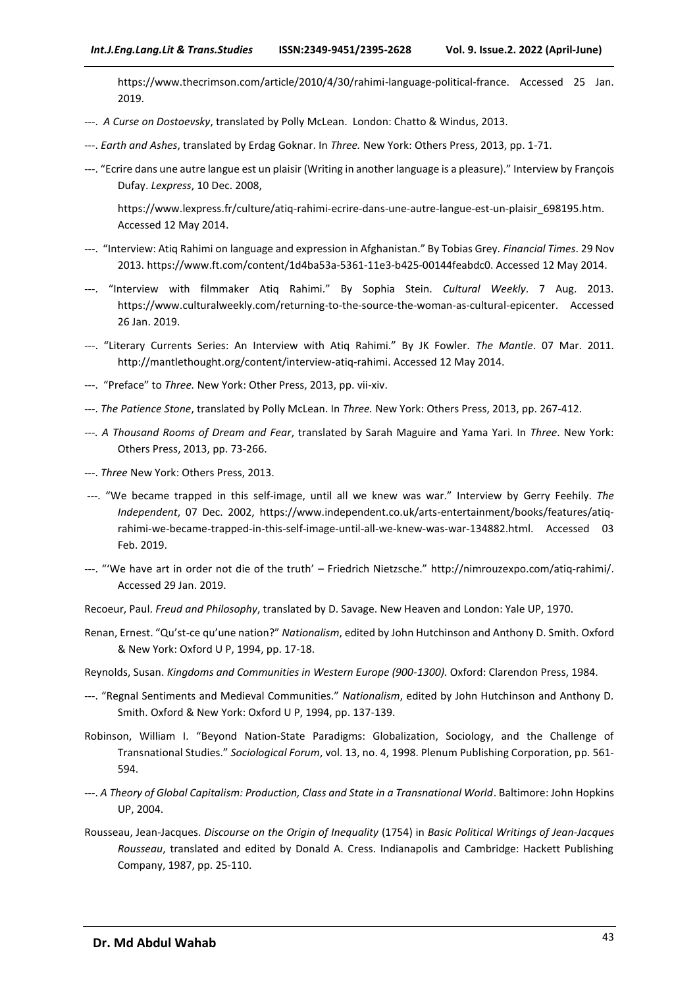[https://www.thecrimson.com/article/2010/4/30/rahimi-language-political-france. Accessed 25 Jan.](https://www.thecrimson.com/article/2010/4/30/rahimi-language-political-france.%20Accessed%2025%20Jan.%202019)  [2019.](https://www.thecrimson.com/article/2010/4/30/rahimi-language-political-france.%20Accessed%2025%20Jan.%202019)

- ---. *A Curse on Dostoevsky*, translated by Polly McLean. London: Chatto & Windus, 2013.
- ---. *Earth and Ashes*, translated by Erdag Goknar. In *Three.* New York: Others Press, 2013, pp. 1-71.
- ---. "Ecrire dans une autre langue est un plaisir (Writing in another language is a pleasure)." Interview by François Dufay. *Lexpress*, 10 Dec. 2008,

[https://www.lexpress.fr/culture/atiq-rahimi-ecrire-dans-une-autre-langue-est-un-plaisir\\_698195.htm.](https://www.lexpress.fr/culture/atiq-rahimi-ecrire-dans-une-autre-langue-est-un-plaisir_698195.htm) Accessed 12 May 2014.

- ---. "Interview: Atiq Rahimi on language and expression in Afghanistan." By Tobias Grey. *Financial Times*. 29 Nov 2013[. https://www.ft.com/content/1d4ba53a-5361-11e3-b425-00144feabdc0. Accessed 12 May 2014.](https://www.ft.com/content/1d4ba53a-5361-11e3-b425-00144feabdc0.%20Accessed%2012%20May%202014)
- ---. "Interview with filmmaker Atiq Rahimi." By Sophia Stein. *Cultural Weekly*. 7 Aug. 2013. [https://www.culturalweekly.com/returning-to-the-source-the-woman-as-cultural-epicenter. Accessed](https://www.culturalweekly.com/returning-to-the-source-the-woman-as-cultural-epicenter.%20Accessed%2026%20Jan.%202019)  [26 Jan. 2019.](https://www.culturalweekly.com/returning-to-the-source-the-woman-as-cultural-epicenter.%20Accessed%2026%20Jan.%202019)
- ---. "Literary Currents Series: An Interview with Atiq Rahimi." By JK Fowler. *The Mantle*. 07 Mar. 2011. [http://mantlethought.org/content/interview-atiq-rahimi.](http://mantlethought.org/content/interview-atiq-rahimi) Accessed 12 May 2014.
- ---. "Preface" to *Three.* New York: Other Press, 2013, pp. vii-xiv.
- ---. *The Patience Stone*, translated by Polly McLean. In *Three.* New York: Others Press, 2013, pp. 267-412.
- *---. A Thousand Rooms of Dream and Fear*, translated by Sarah Maguire and Yama Yari. In *Three*. New York: Others Press, 2013, pp. 73-266.
- ---. *Three* New York: Others Press, 2013.
- ---. "We became trapped in this self-image, until all we knew was war." Interview by Gerry Feehily. *The Independent*, 07 Dec. 2002, [https://www.independent.co.uk/arts-entertainment/books/features/atiq](https://www.independent.co.uk/arts-entertainment/books/features/atiq-rahimi-we-became-trapped-in-this-self-image-until-all-we-knew-was-war-134882.html.%20Accessed%2003%20Feb.%202019)[rahimi-we-became-trapped-in-this-self-image-until-all-we-knew-was-war-134882.html. Accessed 03](https://www.independent.co.uk/arts-entertainment/books/features/atiq-rahimi-we-became-trapped-in-this-self-image-until-all-we-knew-was-war-134882.html.%20Accessed%2003%20Feb.%202019)  [Feb. 2019.](https://www.independent.co.uk/arts-entertainment/books/features/atiq-rahimi-we-became-trapped-in-this-self-image-until-all-we-knew-was-war-134882.html.%20Accessed%2003%20Feb.%202019)
- ---. "'We have art in order not die of the truth' Friedrich Nietzsche." [http://nimrouzexpo.com/atiq-rahimi/.](http://nimrouzexpo.com/atiq-rahimi/) Accessed 29 Jan. 2019.
- Recoeur, Paul. *Freud and Philosophy*, translated by D. Savage. New Heaven and London: Yale UP, 1970.
- Renan, Ernest. "Qu'st-ce qu'une nation?" *Nationalism*, edited by John Hutchinson and Anthony D. Smith. Oxford & New York: Oxford U P, 1994, pp. 17-18.
- Reynolds, Susan. *Kingdoms and Communities in Western Europe (900-1300).* Oxford: Clarendon Press, 1984.
- ---. "Regnal Sentiments and Medieval Communities." *Nationalism*, edited by John Hutchinson and Anthony D. Smith. Oxford & New York: Oxford U P, 1994, pp. 137-139.
- Robinson, William I. "Beyond Nation-State Paradigms: Globalization, Sociology, and the Challenge of Transnational Studies." *Sociological Forum*, vol. 13, no. 4, 1998. Plenum Publishing Corporation, pp. 561- 594.
- ---. *A Theory of Global Capitalism: Production, Class and State in a Transnational World*. Baltimore: John Hopkins UP, 2004.
- Rousseau, Jean-Jacques. *Discourse on the Origin of Inequality* (1754) in *Basic Political Writings of Jean-Jacques Rousseau*, translated and edited by Donald A. Cress. Indianapolis and Cambridge: Hackett Publishing Company, 1987, pp. 25-110.